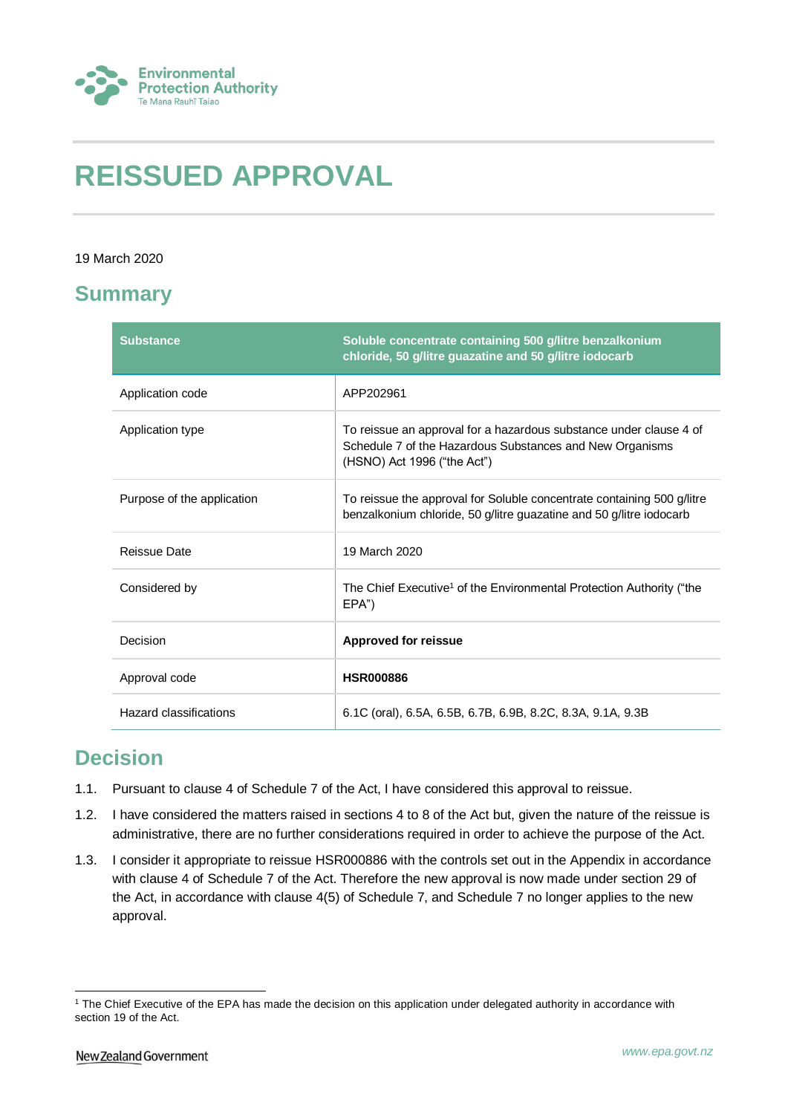

# **REISSUED APPROVAL**

#### 19 March 2020

### **Summary**

| <b>Substance</b>           | Soluble concentrate containing 500 g/litre benzalkonium<br>chloride, 50 g/litre guazatine and 50 g/litre iodocarb                                             |
|----------------------------|---------------------------------------------------------------------------------------------------------------------------------------------------------------|
| Application code           | APP202961                                                                                                                                                     |
| Application type           | To reissue an approval for a hazardous substance under clause 4 of<br>Schedule 7 of the Hazardous Substances and New Organisms<br>(HSNO) Act 1996 ("the Act") |
| Purpose of the application | To reissue the approval for Soluble concentrate containing 500 g/litre<br>benzalkonium chloride, 50 g/litre guazatine and 50 g/litre iodocarb                 |
| <b>Reissue Date</b>        | 19 March 2020                                                                                                                                                 |
| Considered by              | The Chief Executive <sup>1</sup> of the Environmental Protection Authority ("the<br>EPA")                                                                     |
| Decision                   | <b>Approved for reissue</b>                                                                                                                                   |
| Approval code              | <b>HSR000886</b>                                                                                                                                              |
| Hazard classifications     | 6.1C (oral), 6.5A, 6.5B, 6.7B, 6.9B, 8.2C, 8.3A, 9.1A, 9.3B                                                                                                   |

## **Decision**

- 1.1. Pursuant to clause 4 of Schedule 7 of the Act, I have considered this approval to reissue.
- 1.2. I have considered the matters raised in sections 4 to 8 of the Act but, given the nature of the reissue is administrative, there are no further considerations required in order to achieve the purpose of the Act.
- 1.3. I consider it appropriate to reissue HSR000886 with the controls set out in the Appendix in accordance with clause 4 of Schedule 7 of the Act. Therefore the new approval is now made under section 29 of the Act, in accordance with clause 4(5) of Schedule 7, and Schedule 7 no longer applies to the new approval.

<sup>1</sup> <sup>1</sup> The Chief Executive of the EPA has made the decision on this application under delegated authority in accordance with section 19 of the Act.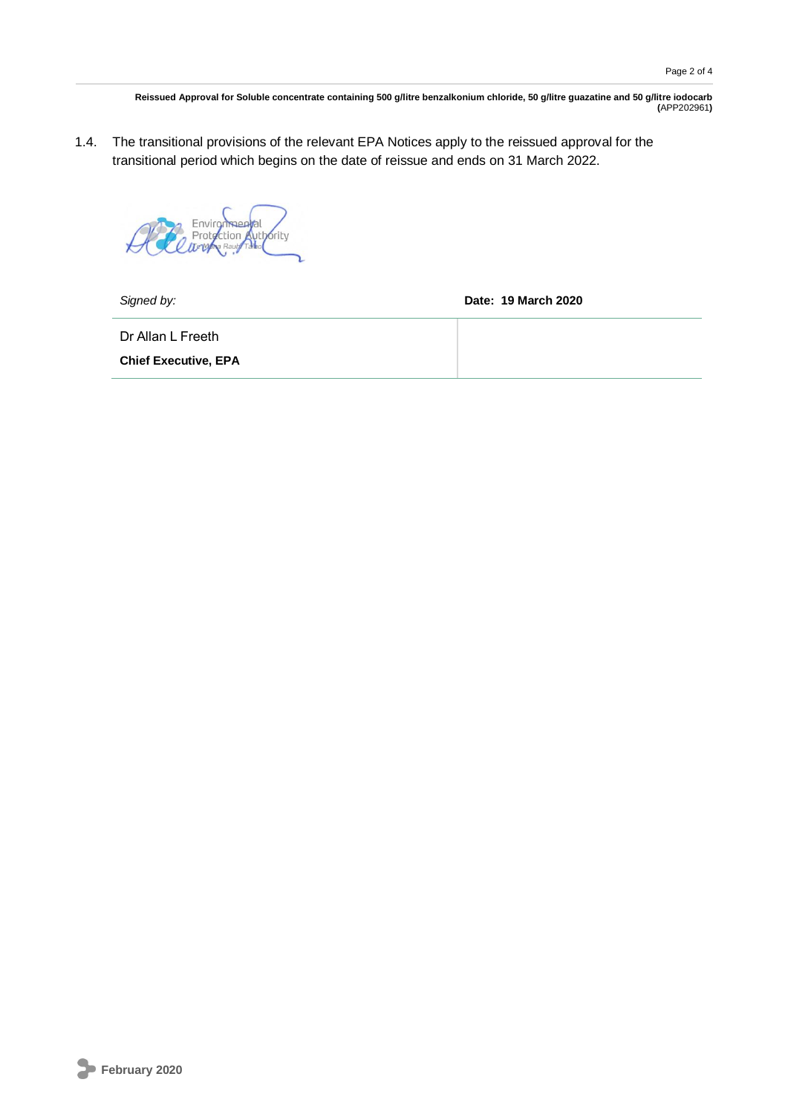**Reissued Approval for Soluble concentrate containing 500 g/litre benzalkonium chloride, 50 g/litre guazatine and 50 g/litre iodocarb (**APP202961**)**

1.4. The transitional provisions of the relevant EPA Notices apply to the reissued approval for the transitional period which begins on the date of reissue and ends on 31 March 2022.

Environmental<br>Protection Authority<br>Tervine Rault Talled

*Signed by:* **Date: 19 March 2020**

Dr Allan L Freeth

**Chief Executive, EPA**

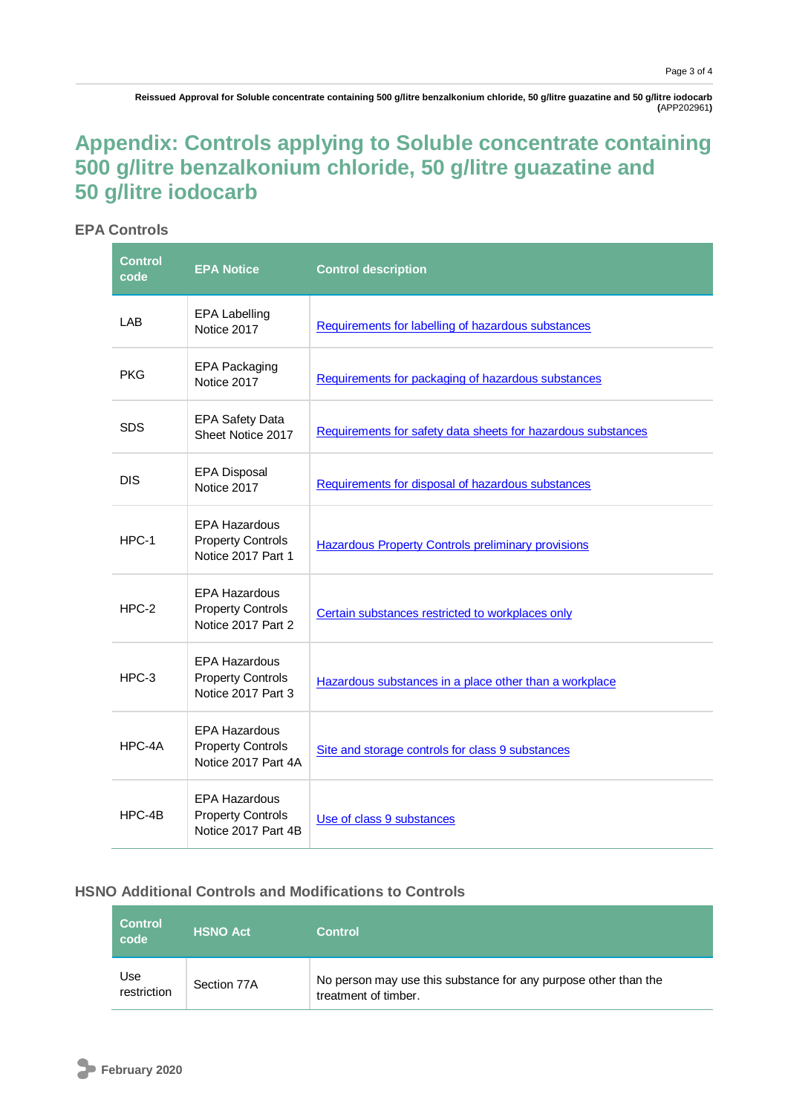**Reissued Approval for Soluble concentrate containing 500 g/litre benzalkonium chloride, 50 g/litre guazatine and 50 g/litre iodocarb (**APP202961**)**

# **Appendix: Controls applying to Soluble concentrate containing 500 g/litre benzalkonium chloride, 50 g/litre guazatine and 50 g/litre iodocarb**

### **EPA Controls**

| <b>Control</b><br>code | <b>EPA Notice</b>                                                       | <b>Control description</b>                                   |
|------------------------|-------------------------------------------------------------------------|--------------------------------------------------------------|
| LAB                    | <b>EPA Labelling</b><br>Notice 2017                                     | Requirements for labelling of hazardous substances           |
| PKG                    | <b>EPA Packaging</b><br>Notice 2017                                     | Requirements for packaging of hazardous substances           |
| <b>SDS</b>             | <b>EPA Safety Data</b><br>Sheet Notice 2017                             | Requirements for safety data sheets for hazardous substances |
| <b>DIS</b>             | <b>EPA Disposal</b><br>Notice 2017                                      | Requirements for disposal of hazardous substances            |
| HPC-1                  | <b>EPA Hazardous</b><br><b>Property Controls</b><br>Notice 2017 Part 1  | <b>Hazardous Property Controls preliminary provisions</b>    |
| $HPC-2$                | <b>EPA Hazardous</b><br><b>Property Controls</b><br>Notice 2017 Part 2  | Certain substances restricted to workplaces only             |
| $HPC-3$                | <b>EPA Hazardous</b><br><b>Property Controls</b><br>Notice 2017 Part 3  | Hazardous substances in a place other than a workplace       |
| HPC-4A                 | <b>EPA Hazardous</b><br><b>Property Controls</b><br>Notice 2017 Part 4A | Site and storage controls for class 9 substances             |
| HPC-4B                 | <b>EPA Hazardous</b><br><b>Property Controls</b><br>Notice 2017 Part 4B | Use of class 9 substances                                    |

### **HSNO Additional Controls and Modifications to Controls**

| <b>Control</b><br>code | <b>HSNO Act</b> | <b>Control</b>                                                                          |
|------------------------|-----------------|-----------------------------------------------------------------------------------------|
| Use<br>restriction     | Section 77A     | No person may use this substance for any purpose other than the<br>treatment of timber. |